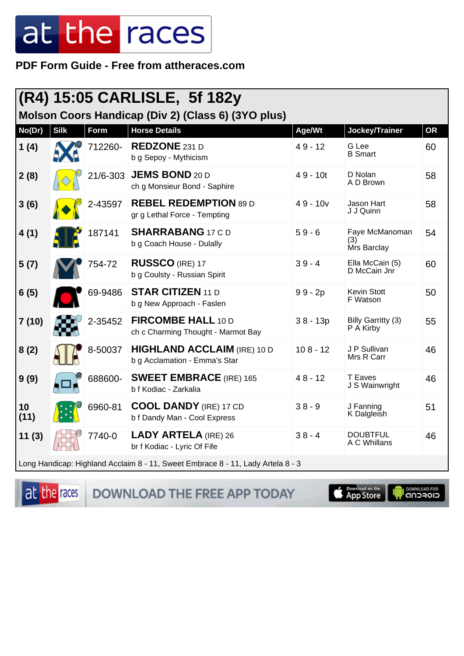PDF Form Guide - Free from attheraces.com

| $(R4)$ 15:05 CARLISLE, 5f 182y                                                  |             |          |                                                                     |            |                                      |           |  |  |
|---------------------------------------------------------------------------------|-------------|----------|---------------------------------------------------------------------|------------|--------------------------------------|-----------|--|--|
| Molson Coors Handicap (Div 2) (Class 6) (3YO plus)                              |             |          |                                                                     |            |                                      |           |  |  |
| No(Dr)                                                                          | <b>Silk</b> | Form     | <b>Horse Details</b>                                                | Age/Wt     | Jockey/Trainer                       | <b>OR</b> |  |  |
| 1(4)                                                                            |             | 712260-  | <b>REDZONE 231 D</b><br>b g Sepoy - Mythicism                       | $49 - 12$  | G Lee<br><b>B</b> Smart              | 60        |  |  |
| 2(8)                                                                            |             | 21/6-303 | <b>JEMS BOND 20 D</b><br>ch g Monsieur Bond - Saphire               | $49 - 10t$ | D Nolan<br>A D Brown                 | 58        |  |  |
| 3(6)                                                                            |             | 2-43597  | <b>REBEL REDEMPTION 89 D</b><br>gr g Lethal Force - Tempting        | $49 - 10v$ | Jason Hart<br>J J Quinn              | 58        |  |  |
| 4(1)                                                                            |             | 187141   | <b>SHARRABANG 17 CD</b><br>b g Coach House - Dulally                | $59 - 6$   | Faye McManoman<br>(3)<br>Mrs Barclay | 54        |  |  |
| 5(7)                                                                            |             | 754-72   | <b>RUSSCO (IRE) 17</b><br>b g Coulsty - Russian Spirit              | $39 - 4$   | Ella McCain (5)<br>D McCain Jnr      | 60        |  |  |
| 6(5)                                                                            |             | 69-9486  | <b>STAR CITIZEN 11 D</b><br>b g New Approach - Faslen               | $99 - 2p$  | <b>Kevin Stott</b><br>F Watson       | 50        |  |  |
| 7(10)                                                                           |             | 2-35452  | FIRCOMBE HALL 10 D<br>ch c Charming Thought - Marmot Bay            | $38 - 13p$ | Billy Garritty (3)<br>P A Kirby      | 55        |  |  |
| 8(2)                                                                            |             | 8-50037  | <b>HIGHLAND ACCLAIM (IRE) 10 D</b><br>b g Acclamation - Emma's Star | $108 - 12$ | J P Sullivan<br>Mrs R Carr           | 46        |  |  |
| 9(9)                                                                            |             | 688600-  | <b>SWEET EMBRACE (IRE) 165</b><br>b f Kodiac - Zarkalia             | $48 - 12$  | <b>T</b> Eaves<br>J S Wainwright     | 46        |  |  |
| 10<br>(11)                                                                      |             | 6960-81  | <b>COOL DANDY (IRE) 17 CD</b><br>b f Dandy Man - Cool Express       | $38 - 9$   | J Fanning<br>K Dalgleish             | 51        |  |  |
| 11(3)                                                                           |             | 7740-0   | <b>LADY ARTELA (IRE) 26</b><br>br f Kodiac - Lyric Of Fife          | $38 - 4$   | <b>DOUBTFUL</b><br>A C Whillans      | 46        |  |  |
| Long Handicap: Highland Acclaim 8 - 11, Sweet Embrace 8 - 11, Lady Artela 8 - 3 |             |          |                                                                     |            |                                      |           |  |  |

at the races

DOWNLOAD THE FREE APP TODAY

Completed on the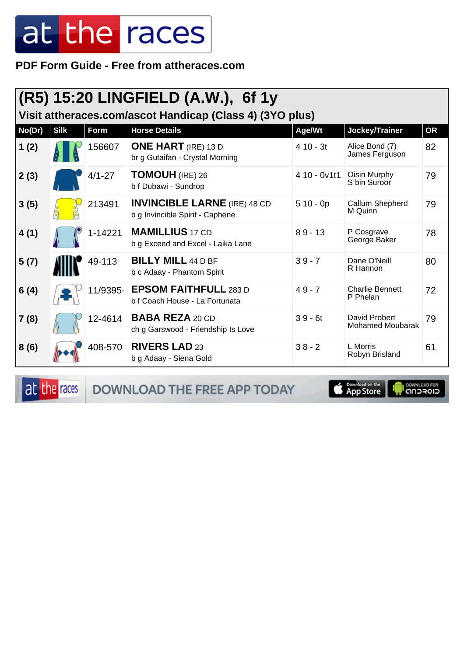PDF Form Guide - Free from attheraces.com

| $(R5)$ 15:20 LINGFIELD (A.W.), 6f 1y<br>Visit attheraces.com/ascot Handicap (Class 4) (3YO plus) |             |            |                                                                        |              |                                          |           |  |  |
|--------------------------------------------------------------------------------------------------|-------------|------------|------------------------------------------------------------------------|--------------|------------------------------------------|-----------|--|--|
| No(Dr)                                                                                           | <b>Silk</b> | Form       | <b>Horse Details</b>                                                   | Age/Wt       | Jockey/Trainer                           | <b>OR</b> |  |  |
| 1(2)                                                                                             |             | 156607     | <b>ONE HART</b> (IRE) 13 D<br>br g Gutaifan - Crystal Morning          | $410 - 3t$   | Alice Bond (7)<br>James Ferguson         | 82        |  |  |
| 2(3)                                                                                             |             | $4/1 - 27$ | <b>TOMOUH</b> (IRE) 26<br>b f Dubawi - Sundrop                         | 4 10 - 0v1t1 | Oisin Murphy<br>S bin Suroor             | 79        |  |  |
| 3(5)                                                                                             |             | 213491     | <b>INVINCIBLE LARNE</b> (IRE) 48 CD<br>b g Invincible Spirit - Caphene | $510 - 0p$   | Callum Shepherd<br>M Quinn               | 79        |  |  |
| 4(1)                                                                                             |             | 1-14221    | <b>MAMILLIUS</b> 17 CD<br>b g Exceed and Excel - Laika Lane            | $89 - 13$    | P Cosgrave<br>George Baker               | 78        |  |  |
| 5(7)                                                                                             |             | 49-113     | <b>BILLY MILL 44 D BF</b><br>b c Adaay - Phantom Spirit                | $39 - 7$     | Dane O'Neill<br>R Hannon                 | 80        |  |  |
| 6(4)                                                                                             |             |            | 11/9395- EPSOM FAITHFULL 283 D<br>b f Coach House - La Fortunata       | $49 - 7$     | <b>Charlie Bennett</b><br>P Phelan       | 72        |  |  |
| 7(8)                                                                                             |             | 12-4614    | <b>BABA REZA 20 CD</b><br>ch g Garswood - Friendship Is Love           | $39 - 6t$    | David Probert<br><b>Mohamed Moubarak</b> | 79        |  |  |
| 8(6)                                                                                             |             | 408-570    | <b>RIVERS LAD 23</b><br>b g Adaay - Siena Gold                         | $38 - 2$     | L Morris<br>Robyn Brisland               | 61        |  |  |

at the races

DOWNLOAD THE FREE APP TODAY

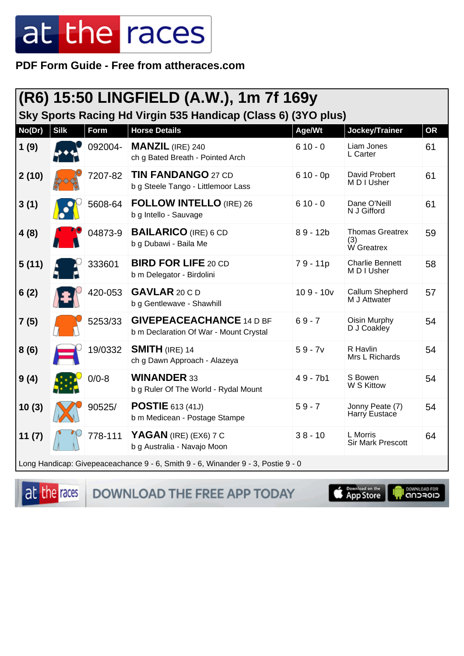PDF Form Guide - Free from attheraces.com

| (R6) 15:50 LINGFIELD (A.W.), 1m 7f 169y<br>Sky Sports Racing Hd Virgin 535 Handicap (Class 6) (3YO plus) |             |           |                                                                           |             |                                             |           |  |
|----------------------------------------------------------------------------------------------------------|-------------|-----------|---------------------------------------------------------------------------|-------------|---------------------------------------------|-----------|--|
| No(Dr)                                                                                                   | <b>Silk</b> | Form      | <b>Horse Details</b>                                                      | Age/Wt      | Jockey/Trainer                              | <b>OR</b> |  |
| 1(9)                                                                                                     |             | 092004-   | <b>MANZIL</b> (IRE) 240<br>ch g Bated Breath - Pointed Arch               | $610 - 0$   | Liam Jones<br>L Carter                      | 61        |  |
| 2(10)                                                                                                    |             | 7207-82   | <b>TIN FANDANGO 27 CD</b><br>b g Steele Tango - Littlemoor Lass           | $610 - 0p$  | David Probert<br>M D I Usher                | 61        |  |
| 3(1)                                                                                                     |             | 5608-64   | <b>FOLLOW INTELLO (IRE) 26</b><br>b g Intello - Sauvage                   | $610 - 0$   | Dane O'Neill<br>N J Gifford                 | 61        |  |
| 4(8)                                                                                                     |             | 04873-9   | <b>BAILARICO</b> (IRE) 6 CD<br>b g Dubawi - Baila Me                      | $89 - 12b$  | <b>Thomas Greatrex</b><br>(3)<br>W Greatrex | 59        |  |
| 5(11)                                                                                                    |             | 333601    | <b>BIRD FOR LIFE 20 CD</b><br>b m Delegator - Birdolini                   | $79 - 11p$  | <b>Charlie Bennett</b><br>M D I Usher       | 58        |  |
| 6(2)                                                                                                     |             | 420-053   | GAVLAR 20 C D<br>b g Gentlewave - Shawhill                                | $109 - 10v$ | Callum Shepherd<br>M J Attwater             | 57        |  |
| 7(5)                                                                                                     |             | 5253/33   | <b>GIVEPEACEACHANCE 14 D BF</b><br>b m Declaration Of War - Mount Crystal | $69 - 7$    | Oisin Murphy<br>D J Coakley                 | 54        |  |
| 8(6)                                                                                                     |             | 19/0332   | <b>SMITH</b> (IRE) 14<br>ch g Dawn Approach - Alazeya                     | $59 - 7v$   | R Havlin<br>Mrs L Richards                  | 54        |  |
| 9(4)                                                                                                     |             | $0/0 - 8$ | <b>WINANDER 33</b><br>b g Ruler Of The World - Rydal Mount                | $49 - 7b1$  | S Bowen<br>W S Kittow                       | 54        |  |
| 10(3)                                                                                                    |             | 90525/    | <b>POSTIE</b> 613 (41J)<br>b m Medicean - Postage Stampe                  | $59 - 7$    | Jonny Peate (7)<br>Harry Eustace            | 54        |  |
| 11(7)                                                                                                    |             | 778-111   | YAGAN (IRE) (EX6) 7 C<br>b g Australia - Navajo Moon                      | $38 - 10$   | L Morris<br><b>Sir Mark Prescott</b>        | 64        |  |
| Long Handicap: Givepeaceachance 9 - 6, Smith 9 - 6, Winander 9 - 3, Postie 9 - 0                         |             |           |                                                                           |             |                                             |           |  |

at the races

DOWNLOAD THE FREE APP TODAY

**Examples on the**<br>**App Store**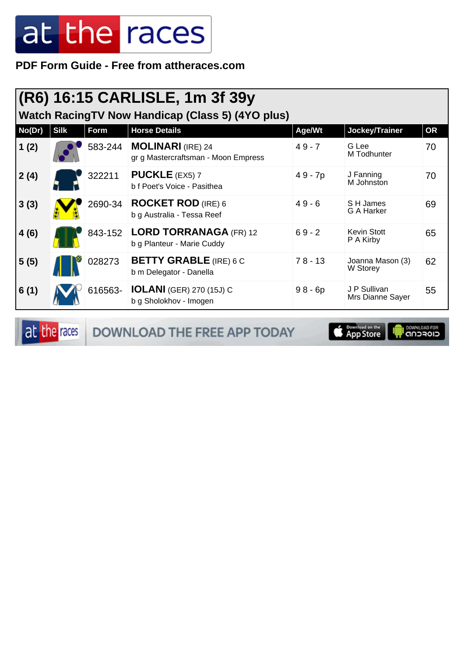**PDF Form Guide - Free from attheraces.com**

| (R6) 16:15 CARLISLE, 1m 3f 39y<br><b>Watch RacingTV Now Handicap (Class 5) (4YO plus)</b> |             |         |                                                                 |           |                                  |           |  |  |
|-------------------------------------------------------------------------------------------|-------------|---------|-----------------------------------------------------------------|-----------|----------------------------------|-----------|--|--|
| No(Dr)                                                                                    | <b>Silk</b> | Form    | <b>Horse Details</b>                                            | Age/Wt    | Jockey/Trainer                   | <b>OR</b> |  |  |
| 1(2)                                                                                      |             | 583-244 | <b>MOLINARI</b> (IRE) 24<br>gr g Mastercraftsman - Moon Empress | $49 - 7$  | G Lee<br>M Todhunter             | 70        |  |  |
| 2(4)                                                                                      |             | 322211  | <b>PUCKLE</b> (EX5) $7$<br>b f Poet's Voice - Pasithea          | 49 - 7p   | J Fanning<br>M Johnston          | 70        |  |  |
| 3(3)                                                                                      |             | 2690-34 | <b>ROCKET ROD</b> (IRE) 6<br>b g Australia - Tessa Reef         | $49 - 6$  | S H James<br>G A Harker          | 69        |  |  |
| 4(6)                                                                                      |             | 843-152 | <b>LORD TORRANAGA (FR) 12</b><br>b g Planteur - Marie Cuddy     | $69 - 2$  | <b>Kevin Stott</b><br>P A Kirby  | 65        |  |  |
| 5(5)                                                                                      |             | 028273  | <b>BETTY GRABLE</b> (IRE) 6 C<br>b m Delegator - Danella        | $78 - 13$ | Joanna Mason (3)<br>W Storey     | 62        |  |  |
| 6(1)                                                                                      |             | 616563- | <b>IOLANI</b> (GER) 270 (15J) C<br>b g Sholokhov - Imogen       | $98 - 6p$ | J P Sullivan<br>Mrs Dianne Sayer | 55        |  |  |

at the races DOWNLOAD THE FREE APP TODAY

App Store **OWNLOAD FOR**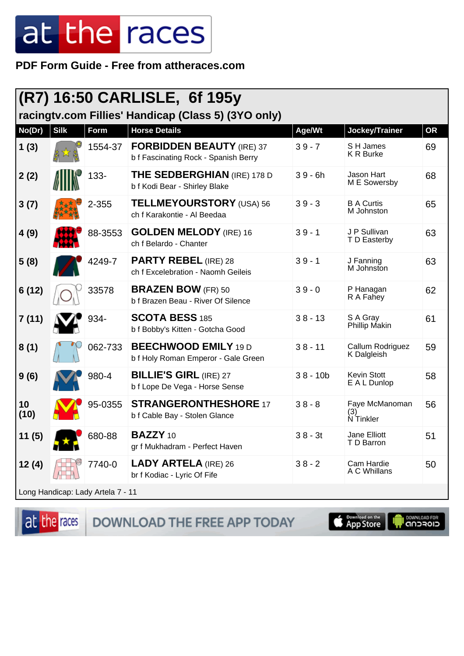PDF Form Guide - Free from attheraces.com

| (R7) 16:50 CARLISLE, 6f 195y      |             |             |                                                                          |            |                                    |           |
|-----------------------------------|-------------|-------------|--------------------------------------------------------------------------|------------|------------------------------------|-----------|
|                                   |             |             | racingtv.com Fillies' Handicap (Class 5) (3YO only)                      |            |                                    |           |
| No(Dr)                            | <b>Silk</b> | <b>Form</b> | <b>Horse Details</b>                                                     | Age/Wt     | Jockey/Trainer                     | <b>OR</b> |
| 1(3)                              |             | 1554-37     | <b>FORBIDDEN BEAUTY (IRE) 37</b><br>b f Fascinating Rock - Spanish Berry | $39 - 7$   | S H James<br><b>KR Burke</b>       | 69        |
| 2(2)                              |             | 133-        | <b>THE SEDBERGHIAN (IRE) 178 D</b><br>b f Kodi Bear - Shirley Blake      | $39 - 6h$  | Jason Hart<br>M E Sowersby         | 68        |
| 3(7)                              |             | 2-355       | <b>TELLMEYOURSTORY</b> (USA) 56<br>ch f Karakontie - Al Beedaa           | $39 - 3$   | <b>B A Curtis</b><br>M Johnston    | 65        |
| 4(9)                              |             | 88-3553     | <b>GOLDEN MELODY</b> (IRE) 16<br>ch f Belardo - Chanter                  | $39 - 1$   | J P Sullivan<br>T D Easterby       | 63        |
| 5(8)                              |             | 4249-7      | <b>PARTY REBEL (IRE) 28</b><br>ch f Excelebration - Naomh Geileis        | $39 - 1$   | J Fanning<br>M Johnston            | 63        |
| 6(12)                             |             | 33578       | <b>BRAZEN BOW (FR) 50</b><br>b f Brazen Beau - River Of Silence          | $39 - 0$   | P Hanagan<br>R A Fahey             | 62        |
| 7(11)                             |             | 934-        | <b>SCOTA BESS 185</b><br>b f Bobby's Kitten - Gotcha Good                | $38 - 13$  | S A Gray<br><b>Phillip Makin</b>   | 61        |
| 8(1)                              |             | 062-733     | <b>BEECHWOOD EMILY 19 D</b><br>b f Holy Roman Emperor - Gale Green       | $38 - 11$  | Callum Rodriguez<br>K Dalgleish    | 59        |
| 9(6)                              |             | 980-4       | <b>BILLIE'S GIRL (IRE) 27</b><br>b f Lope De Vega - Horse Sense          | $38 - 10b$ | <b>Kevin Stott</b><br>E A L Dunlop | 58        |
| 10<br>(10)                        |             | 95-0355     | <b>STRANGERONTHESHORE 17</b><br>b f Cable Bay - Stolen Glance            | $38 - 8$   | Faye McManoman<br>(3)<br>N Tinkler | 56        |
| 11(5)                             |             | 680-88      | <b>BAZZY</b> 10<br>gr f Mukhadram - Perfect Haven                        | $38 - 3t$  | Jane Elliott<br>T D Barron         | 51        |
| 12(4)                             |             | 7740-0      | <b>LADY ARTELA (IRE) 26</b><br>br f Kodiac - Lyric Of Fife               | $38 - 2$   | Cam Hardie<br>A C Whillans         | 50        |
| Long Handicap: Lady Artela 7 - 11 |             |             |                                                                          |            |                                    |           |

at the races

DOWNLOAD THE FREE APP TODAY

App Store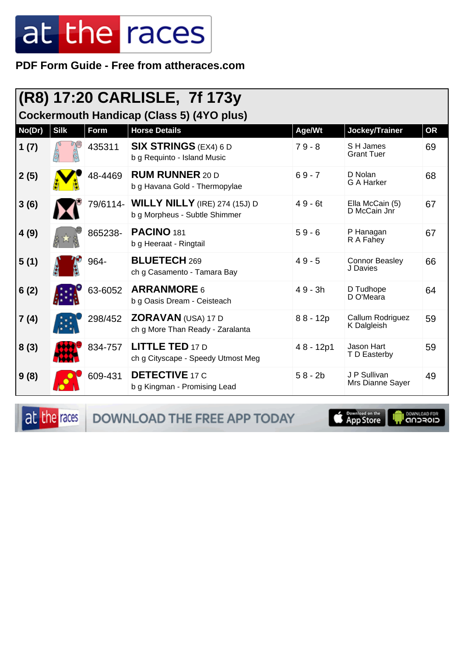**PDF Form Guide - Free from attheraces.com**

| (R8) 17:20 CARLISLE, 7f 173y<br>Cockermouth Handicap (Class 5) (4YO plus) |             |          |                                                                       |            |                                   |           |  |
|---------------------------------------------------------------------------|-------------|----------|-----------------------------------------------------------------------|------------|-----------------------------------|-----------|--|
| No(Dr)                                                                    | <b>Silk</b> | Form     | <b>Horse Details</b>                                                  | Age/Wt     | Jockey/Trainer                    | <b>OR</b> |  |
| 1(7)                                                                      |             | 435311   | <b>SIX STRINGS</b> (EX4) 6 D<br>b g Requinto - Island Music           | $79 - 8$   | S H James<br><b>Grant Tuer</b>    | 69        |  |
| 2(5)                                                                      |             | 48-4469  | <b>RUM RUNNER 20 D</b><br>b g Havana Gold - Thermopylae               | $69 - 7$   | D Nolan<br><b>G A Harker</b>      | 68        |  |
| 3(6)                                                                      |             | 79/6114- | <b>WILLY NILLY</b> (IRE) 274 (15J) D<br>b g Morpheus - Subtle Shimmer | $49 - 6t$  | Ella McCain (5)<br>D McCain Jnr   | 67        |  |
| 4(9)                                                                      |             | 865238-  | <b>PACINO 181</b><br>b g Heeraat - Ringtail                           | $59 - 6$   | P Hanagan<br>R A Fahey            | 67        |  |
| 5(1)                                                                      |             | 964-     | <b>BLUETECH 269</b><br>ch g Casamento - Tamara Bay                    | $49 - 5$   | <b>Connor Beasley</b><br>J Davies | 66        |  |
| 6(2)                                                                      |             | 63-6052  | <b>ARRANMORE 6</b><br>b g Oasis Dream - Ceisteach                     | $49 - 3h$  | D Tudhope<br>D O'Meara            | 64        |  |
| 7(4)                                                                      |             | 298/452  | ZORAVAN (USA) 17 D<br>ch g More Than Ready - Zaralanta                | $88 - 12p$ | Callum Rodriguez<br>K Dalgleish   | 59        |  |
| 8(3)                                                                      |             | 834-757  | <b>LITTLE TED 17 D</b><br>ch g Cityscape - Speedy Utmost Meg          | 48 - 12p1  | Jason Hart<br>T D Easterby        | 59        |  |
| 9(8)                                                                      |             | 609-431  | <b>DETECTIVE 17 C</b><br>b g Kingman - Promising Lead                 | $58 - 2b$  | J P Sullivan<br>Mrs Dianne Sayer  | 49        |  |

at the races DOWNLOAD THE FREE APP TODAY